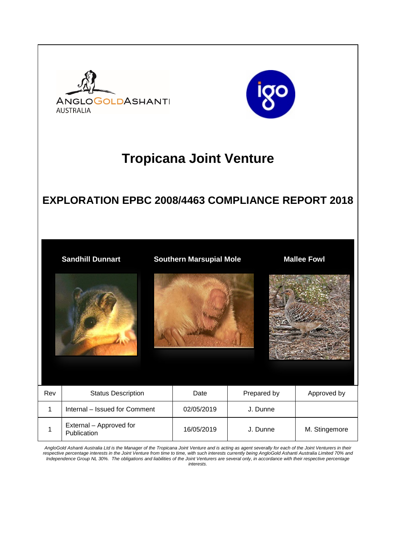

*AngloGold Ashanti Australia Ltd is the Manager of the Tropicana Joint Venture and is acting as agent severally for each of the Joint Venturers in their respective percentage interests in the Joint Venture from time to time, with such interests currently being AngloGold Ashanti Australia Limited 70% and Independence Group NL 30%. The obligations and liabilities of the Joint Venturers are several only, in accordance with their respective percentage interests.*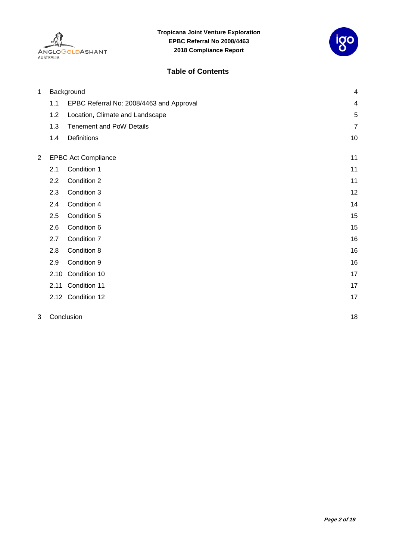



#### **Table of Contents**

| 1              | Background                 |                                          | 4              |
|----------------|----------------------------|------------------------------------------|----------------|
|                | 1.1                        | EPBC Referral No: 2008/4463 and Approval | 4              |
|                | 1.2                        | Location, Climate and Landscape          | 5              |
|                | 1.3                        | <b>Tenement and PoW Details</b>          | $\overline{7}$ |
|                | 1.4                        | <b>Definitions</b>                       | 10             |
| $\overline{2}$ | <b>EPBC Act Compliance</b> |                                          | 11             |
|                | 2.1                        | Condition 1                              | 11             |
|                | 2.2                        | Condition 2                              | 11             |
|                | 2.3                        | Condition 3                              | 12             |
|                | 2.4                        | Condition 4                              | 14             |
|                | 2.5                        | Condition 5                              | 15             |
|                | 2.6                        | Condition 6                              | 15             |
|                | 2.7                        | Condition 7                              | 16             |
|                | 2.8                        | Condition 8                              | 16             |
|                | 2.9                        | Condition 9                              | 16             |
|                | 2.10                       | Condition 10                             | 17             |
|                | 2.11                       | Condition 11                             | 17             |
|                |                            | 2.12 Condition 12                        | 17             |
| 3              |                            | Conclusion                               | 18             |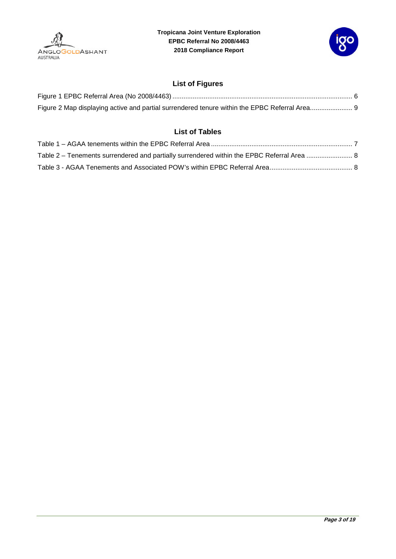



#### **List of Figures**

| Figure 2 Map displaying active and partial surrendered tenure within the EPBC Referral Area 9 |  |
|-----------------------------------------------------------------------------------------------|--|

#### **List of Tables**

| Table 2 – Tenements surrendered and partially surrendered within the EPBC Referral Area  8 |  |
|--------------------------------------------------------------------------------------------|--|
|                                                                                            |  |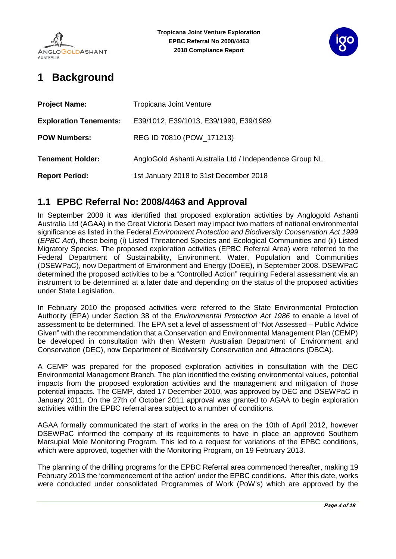



# <span id="page-3-0"></span>**1 Background**

| <b>Project Name:</b>          | <b>Tropicana Joint Venture</b>                          |  |
|-------------------------------|---------------------------------------------------------|--|
| <b>Exploration Tenements:</b> | E39/1012, E39/1013, E39/1990, E39/1989                  |  |
| <b>POW Numbers:</b>           | REG ID 70810 (POW_171213)                               |  |
| <b>Tenement Holder:</b>       | AngloGold Ashanti Australia Ltd / Independence Group NL |  |
| <b>Report Period:</b>         | 1st January 2018 to 31st December 2018                  |  |

### <span id="page-3-1"></span>**1.1 EPBC Referral No: 2008/4463 and Approval**

In September 2008 it was identified that proposed exploration activities by Anglogold Ashanti Australia Ltd (AGAA) in the Great Victoria Desert may impact two matters of national environmental significance as listed in the Federal *Environment Protection and Biodiversity Conservation Act 1999* (*EPBC Act*), these being (i) Listed Threatened Species and Ecological Communities and (ii) Listed Migratory Species. The proposed exploration activities (EPBC Referral Area) were referred to the Federal Department of Sustainability, Environment, Water, Population and Communities (DSEWPaC), now Department of Environment and Energy (DoEE), in September 2008. DSEWPaC determined the proposed activities to be a "Controlled Action" requiring Federal assessment via an instrument to be determined at a later date and depending on the status of the proposed activities under State Legislation.

In February 2010 the proposed activities were referred to the State Environmental Protection Authority (EPA) under Section 38 of the *Environmental Protection Act 1986* to enable a level of assessment to be determined. The EPA set a level of assessment of "Not Assessed – Public Advice Given" with the recommendation that a Conservation and Environmental Management Plan (CEMP) be developed in consultation with then Western Australian Department of Environment and Conservation (DEC), now Department of Biodiversity Conservation and Attractions (DBCA).

A CEMP was prepared for the proposed exploration activities in consultation with the DEC Environmental Management Branch. The plan identified the existing environmental values, potential impacts from the proposed exploration activities and the management and mitigation of those potential impacts. The CEMP, dated 17 December 2010, was approved by DEC and DSEWPaC in January 2011. On the 27th of October 2011 approval was granted to AGAA to begin exploration activities within the EPBC referral area subject to a number of conditions.

AGAA formally communicated the start of works in the area on the 10th of April 2012, however DSEWPaC informed the company of its requirements to have in place an approved Southern Marsupial Mole Monitoring Program. This led to a request for variations of the EPBC conditions, which were approved, together with the Monitoring Program, on 19 February 2013.

The planning of the drilling programs for the EPBC Referral area commenced thereafter, making 19 February 2013 the 'commencement of the action' under the EPBC conditions. After this date, works were conducted under consolidated Programmes of Work (PoW's) which are approved by the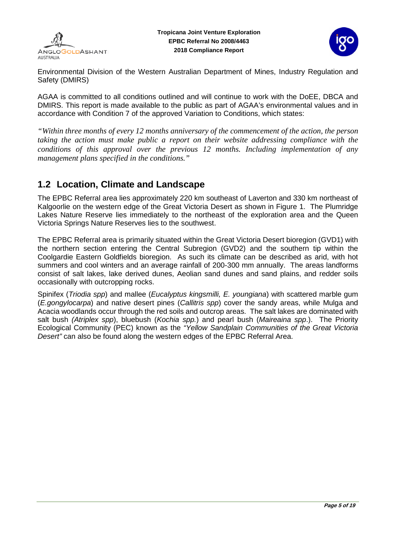



Environmental Division of the Western Australian Department of Mines, Industry Regulation and Safety (DMIRS)

AGAA is committed to all conditions outlined and will continue to work with the DoEE, DBCA and DMIRS. This report is made available to the public as part of AGAA's environmental values and in accordance with Condition 7 of the approved Variation to Conditions, which states:

*"Within three months of every 12 months anniversary of the commencement of the action, the person taking the action must make public a report on their website addressing compliance with the conditions of this approval over the previous 12 months. Including implementation of any management plans specified in the conditions."* 

### <span id="page-4-0"></span>**1.2 Location, Climate and Landscape**

The EPBC Referral area lies approximately 220 km southeast of Laverton and 330 km northeast of Kalgoorlie on the western edge of the Great Victoria Desert as shown in [Figure 1.](#page-5-0) The Plumridge Lakes Nature Reserve lies immediately to the northeast of the exploration area and the Queen Victoria Springs Nature Reserves lies to the southwest.

The EPBC Referral area is primarily situated within the Great Victoria Desert bioregion (GVD1) with the northern section entering the Central Subregion (GVD2) and the southern tip within the Coolgardie Eastern Goldfields bioregion. As such its climate can be described as arid, with hot summers and cool winters and an average rainfall of 200-300 mm annually. The areas landforms consist of salt lakes, lake derived dunes, Aeolian sand dunes and sand plains, and redder soils occasionally with outcropping rocks.

Spinifex (*Triodia spp*) and mallee (*Eucalyptus kingsmilli, E. youngiana*) with scattered marble gum (*E.gongylocarpa*) and native desert pines (*Callitris spp*) cover the sandy areas, while Mulga and Acacia woodlands occur through the red soils and outcrop areas. The salt lakes are dominated with salt bush *(Atriplex spp*), bluebush (*Kochia spp.*) and pearl bush (*Maireaina spp*.). The Priority Ecological Community (PEC) known as the *"Yellow Sandplain Communities of the Great Victoria Desert"* can also be found along the western edges of the EPBC Referral Area.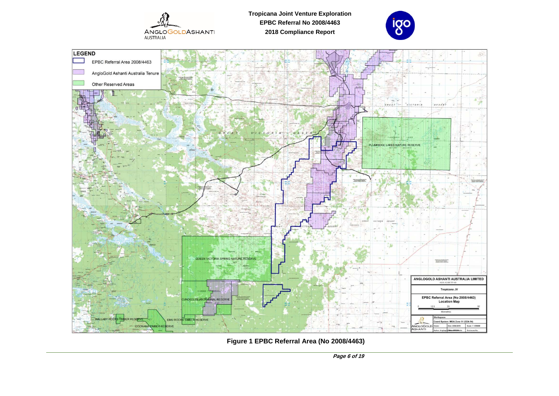

**Tropicana Joint Venture Exploration EPBC Referral No 2008/4463 2018 Compliance Report**





<span id="page-5-0"></span>**Figure 1 EPBC Referral Area (No 2008/4463)**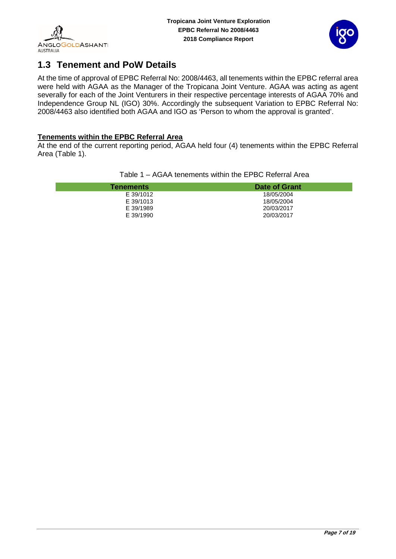<span id="page-6-1"></span>I



## <span id="page-6-0"></span>**1.3 Tenement and PoW Details**

At the time of approval of EPBC Referral No: 2008/4463, all tenements within the EPBC referral area were held with AGAA as the Manager of the Tropicana Joint Venture. AGAA was acting as agent severally for each of the Joint Venturers in their respective percentage interests of AGAA 70% and Independence Group NL (IGO) 30%. Accordingly the subsequent Variation to EPBC Referral No: 2008/4463 also identified both AGAA and IGO as 'Person to whom the approval is granted'.

#### **Tenements within the EPBC Referral Area**

At the end of the current reporting period, AGAA held four (4) tenements within the EPBC Referral Area (Table 1).

| <b>Tenements</b> | Date of Grant |
|------------------|---------------|
| E 39/1012        | 18/05/2004    |
| E 39/1013        | 18/05/2004    |
| E 39/1989        | 20/03/2017    |
| E 39/1990        | 20/03/2017    |

Table 1 – AGAA tenements within the EPBC Referral Area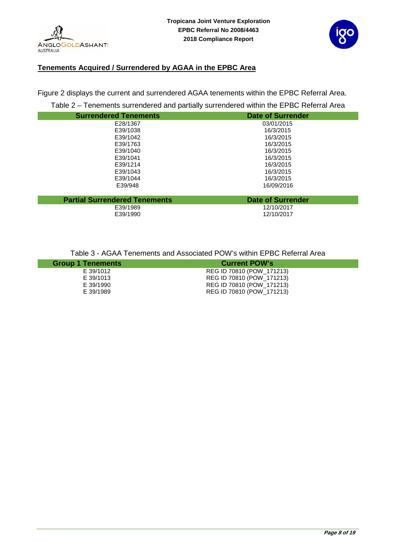



#### **Tenements Acquired / Surrendered by AGAA in the EPBC Area**

Figure 2 displays the current and surrendered AGAA tenements within the EPBC Referral Area.

Table 2 – Tenements surrendered and partially surrendered within the EPBC Referral Area

<span id="page-7-0"></span>

| <b>Surrendered Tenements</b>         | <b>Date of Surrender</b> |
|--------------------------------------|--------------------------|
| E28/1367                             | 03/01/2015               |
| E39/1038                             | 16/3/2015                |
| E39/1042                             | 16/3/2015                |
| E39/1763                             | 16/3/2015                |
| E39/1040                             | 16/3/2015                |
| E39/1041                             | 16/3/2015                |
| E39/1214                             | 16/3/2015                |
| E39/1043                             | 16/3/2015                |
| E39/1044                             | 16/3/2015                |
| E39/948                              | 16/09/2016               |
|                                      |                          |
| <b>Partial Surrendered Tenements</b> | <b>Date of Surrender</b> |
| E39/1989                             | 12/10/2017               |
| E39/1990                             | 12/10/2017               |

Table 3 - AGAA Tenements and Associated POW's within EPBC Referral Area

<span id="page-7-1"></span>

| <b>Group 1 Tenements</b> | <b>Current POW's</b>      |
|--------------------------|---------------------------|
| E 39/1012                | REG ID 70810 (POW 171213) |
| E 39/1013                | REG ID 70810 (POW 171213) |
| E 39/1990                | REG ID 70810 (POW 171213) |
| E 39/1989                | REG ID 70810 (POW_171213) |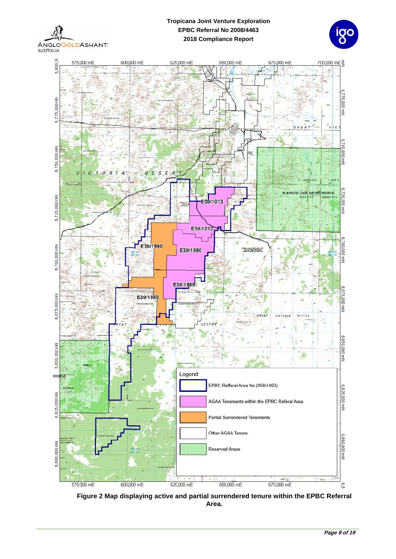**ANGLOGOLDASHANTI AUSTRALIA** 

#### **Tropicana Joint Venture Exploration EPBC Referral No 2008/4463 2018 Compliance Report**

![](_page_8_Picture_2.jpeg)

![](_page_8_Figure_3.jpeg)

<span id="page-8-0"></span>**Figure 2 Map displaying active and partial surrendered tenure within the EPBC Referral Area.**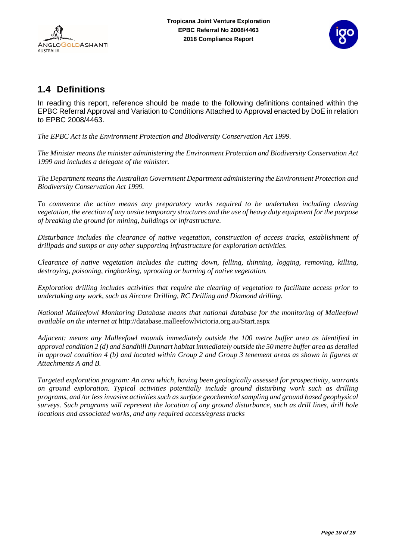![](_page_9_Picture_2.jpeg)

### <span id="page-9-0"></span>**1.4 Definitions**

In reading this report, reference should be made to the following definitions contained within the EPBC Referral Approval and Variation to Conditions Attached to Approval enacted by DoE in relation to EPBC 2008/4463.

*The EPBC Act is the Environment Protection and Biodiversity Conservation Act 1999.*

*The Minister means the minister administering the Environment Protection and Biodiversity Conservation Act 1999 and includes a delegate of the minister.*

*The Department means the Australian Government Department administering the Environment Protection and Biodiversity Conservation Act 1999.*

*To commence the action means any preparatory works required to be undertaken including clearing vegetation, the erection of any onsite temporary structures and the use of heavy duty equipment for the purpose of breaking the ground for mining, buildings or infrastructure.*

*Disturbance includes the clearance of native vegetation, construction of access tracks, establishment of drillpads and sumps or any other supporting infrastructure for exploration activities.*

*Clearance of native vegetation includes the cutting down, felling, thinning, logging, removing, killing, destroying, poisoning, ringbarking, uprooting or burning of native vegetation.*

*Exploration drilling includes activities that require the clearing of vegetation to facilitate access prior to undertaking any work, such as Aircore Drilling, RC Drilling and Diamond drilling.*

*National Malleefowl Monitoring Database means that national database for the monitoring of Malleefowl available on the internet at* <http://database.malleefowlvictoria.org.au/Start.aspx>

*Adjacent: means any Malleefowl mounds immediately outside the 100 metre buffer area as identified in approval condition 2 (d) and Sandhill Dunnart habitat immediately outside the 50 metre buffer area as detailed in approval condition 4 (b) and located within Group 2 and Group 3 tenement areas as shown in figures at Attachments A and B.*

*Targeted exploration program: An area which, having been geologically assessed for prospectivity, warrants on ground exploration. Typical activities potentially include ground disturbing work such as drilling programs, and /or less invasive activities such as surface geochemical sampling and ground based geophysical surveys. Such programs will represent the location of any ground disturbance, such as drill lines, drill hole locations and associated works, and any required access/egress tracks*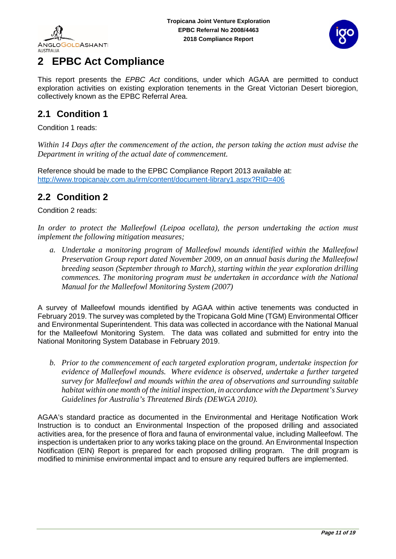![](_page_10_Picture_0.jpeg)

![](_page_10_Picture_2.jpeg)

# <span id="page-10-0"></span>**2 EPBC Act Compliance**

This report presents the *EPBC Act* conditions, under which AGAA are permitted to conduct exploration activities on existing exploration tenements in the Great Victorian Desert bioregion, collectively known as the EPBC Referral Area.

### <span id="page-10-1"></span>**2.1 Condition 1**

Condition 1 reads:

*Within 14 Days after the commencement of the action, the person taking the action must advise the Department in writing of the actual date of commencement.*

Reference should be made to the EPBC Compliance Report 2013 available at: <http://www.tropicanajv.com.au/irm/content/document-library1.aspx?RID=406>

## <span id="page-10-2"></span>**2.2 Condition 2**

Condition 2 reads:

*In order to protect the Malleefowl (Leipoa ocellata), the person undertaking the action must implement the following mitigation measures;*

*a. Undertake a monitoring program of Malleefowl mounds identified within the Malleefowl Preservation Group report dated November 2009, on an annual basis during the Malleefowl breeding season (September through to March), starting within the year exploration drilling commences. The monitoring program must be undertaken in accordance with the National Manual for the Malleefowl Monitoring System (2007)*

A survey of Malleefowl mounds identified by AGAA within active tenements was conducted in February 2019. The survey was completed by the Tropicana Gold Mine (TGM) Environmental Officer and Environmental Superintendent. This data was collected in accordance with the National Manual for the Malleefowl Monitoring System. The data was collated and submitted for entry into the National Monitoring System Database in February 2019.

*b. Prior to the commencement of each targeted exploration program, undertake inspection for evidence of Malleefowl mounds. Where evidence is observed, undertake a further targeted survey for Malleefowl and mounds within the area of observations and surrounding suitable habitat within one month of the initial inspection, in accordance with the Department's Survey Guidelines for Australia's Threatened Birds (DEWGA 2010).*

AGAA's standard practice as documented in the Environmental and Heritage Notification Work Instruction is to conduct an Environmental Inspection of the proposed drilling and associated activities area, for the presence of flora and fauna of environmental value, including Malleefowl. The inspection is undertaken prior to any works taking place on the ground. An Environmental Inspection Notification (EIN) Report is prepared for each proposed drilling program. The drill program is modified to minimise environmental impact and to ensure any required buffers are implemented.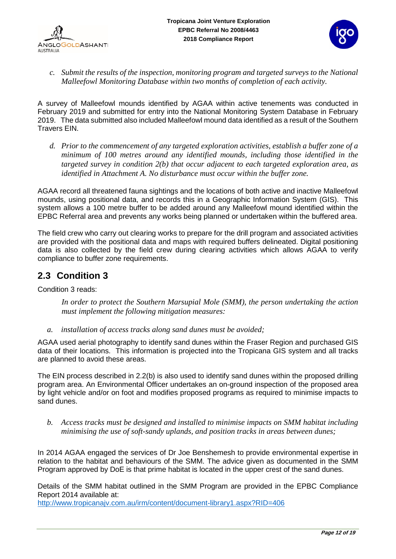![](_page_11_Picture_2.jpeg)

*c. Submit the results of the inspection, monitoring program and targeted surveys to the National Malleefowl Monitoring Database within two months of completion of each activity.* 

A survey of Malleefowl mounds identified by AGAA within active tenements was conducted in February 2019 and submitted for entry into the National Monitoring System Database in February 2019. The data submitted also included Malleefowl mound data identified as a result of the Southern Travers EIN.

*d. Prior to the commencement of any targeted exploration activities, establish a buffer zone of a minimum of 100 metres around any identified mounds, including those identified in the targeted survey in condition 2(b) that occur adjacent to each targeted exploration area, as identified in Attachment A. No disturbance must occur within the buffer zone.*

AGAA record all threatened fauna sightings and the locations of both active and inactive Malleefowl mounds, using positional data, and records this in a Geographic Information System (GIS). This system allows a 100 metre buffer to be added around any Malleefowl mound identified within the EPBC Referral area and prevents any works being planned or undertaken within the buffered area.

The field crew who carry out clearing works to prepare for the drill program and associated activities are provided with the positional data and maps with required buffers delineated. Digital positioning data is also collected by the field crew during clearing activities which allows AGAA to verify compliance to buffer zone requirements.

## <span id="page-11-0"></span>**2.3 Condition 3**

Condition 3 reads:

*In order to protect the Southern Marsupial Mole (SMM), the person undertaking the action must implement the following mitigation measures:*

*a. installation of access tracks along sand dunes must be avoided;*

AGAA used aerial photography to identify sand dunes within the Fraser Region and purchased GIS data of their locations. This information is projected into the Tropicana GIS system and all tracks are planned to avoid these areas.

The EIN process described in 2.2(b) is also used to identify sand dunes within the proposed drilling program area. An Environmental Officer undertakes an on-ground inspection of the proposed area by light vehicle and/or on foot and modifies proposed programs as required to minimise impacts to sand dunes.

*b. Access tracks must be designed and installed to minimise impacts on SMM habitat including minimising the use of soft-sandy uplands, and position tracks in areas between dunes;*

In 2014 AGAA engaged the services of Dr Joe Benshemesh to provide environmental expertise in relation to the habitat and behaviours of the SMM. The advice given as documented in the SMM Program approved by DoE is that prime habitat is located in the upper crest of the sand dunes.

Details of the SMM habitat outlined in the SMM Program are provided in the EPBC Compliance Report 2014 available at:

<http://www.tropicanajv.com.au/irm/content/document-library1.aspx?RID=406>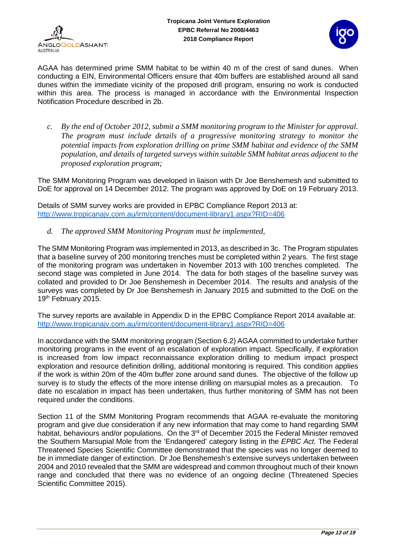![](_page_12_Picture_0.jpeg)

![](_page_12_Picture_2.jpeg)

AGAA has determined prime SMM habitat to be within 40 m of the crest of sand dunes. When conducting a EIN, Environmental Officers ensure that 40m buffers are established around all sand dunes within the immediate vicinity of the proposed drill program, ensuring no work is conducted within this area. The process is managed in accordance with the Environmental Inspection Notification Procedure described in 2b.

*c. By the end of October 2012, submit a SMM monitoring program to the Minister for approval. The program must include details of a progressive monitoring strategy to monitor the potential impacts from exploration drilling on prime SMM habitat and evidence of the SMM population, and details of targeted surveys within suitable SMM habitat areas adjacent to the proposed exploration program;*

The SMM Monitoring Program was developed in liaison with Dr Joe Benshemesh and submitted to DoE for approval on 14 December 2012. The program was approved by DoE on 19 February 2013.

Details of SMM survey works are provided in EPBC Compliance Report 2013 at: <http://www.tropicanajv.com.au/irm/content/document-library1.aspx?RID=406>

*d. The approved SMM Monitoring Program must be implemented,*

The SMM Monitoring Program was implemented in 2013, as described in 3c. The Program stipulates that a baseline survey of 200 monitoring trenches must be completed within 2 years. The first stage of the monitoring program was undertaken in November 2013 with 100 trenches completed. The second stage was completed in June 2014. The data for both stages of the baseline survey was collated and provided to Dr Joe Benshemesh in December 2014. The results and analysis of the surveys was completed by Dr Joe Benshemesh in January 2015 and submitted to the DoE on the 19<sup>th</sup> February 2015.

The survey reports are available in Appendix D in the EPBC Compliance Report 2014 available at: <http://www.tropicanajv.com.au/irm/content/document-library1.aspx?RID=406>

In accordance with the SMM monitoring program (Section 6.2) AGAA committed to undertake further monitoring programs in the event of an escalation of exploration impact. Specifically, if exploration is increased from low impact reconnaissance exploration drilling to medium impact prospect exploration and resource definition drilling, additional monitoring is required. This condition applies if the work is within 20m of the 40m buffer zone around sand dunes. The objective of the follow up survey is to study the effects of the more intense drilling on marsupial moles as a precaution. To date no escalation in impact has been undertaken, thus further monitoring of SMM has not been required under the conditions.

Section 11 of the SMM Monitoring Program recommends that AGAA re-evaluate the monitoring program and give due consideration if any new information that may come to hand regarding SMM habitat, behaviours and/or populations. On the 3<sup>rd</sup> of December 2015 the Federal Minister removed the Southern Marsupial Mole from the 'Endangered' category listing in the *EPBC Act.* The Federal Threatened Species Scientific Committee demonstrated that the species was no longer deemed to be in immediate danger of extinction. Dr Joe Benshemesh's extensive surveys undertaken between 2004 and 2010 revealed that the SMM are widespread and common throughout much of their known range and concluded that there was no evidence of an ongoing decline (Threatened Species Scientific Committee 2015).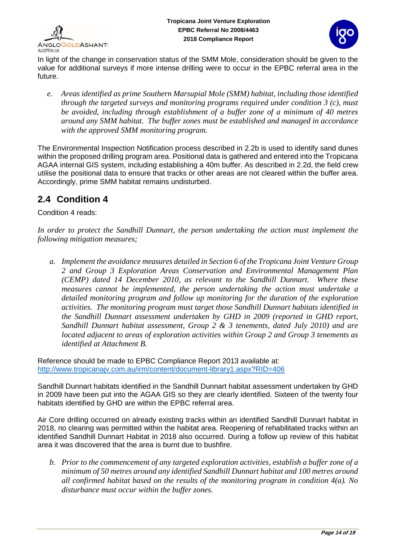![](_page_13_Picture_0.jpeg)

![](_page_13_Picture_2.jpeg)

In light of the change in conservation status of the SMM Mole, consideration should be given to the value for additional surveys if more intense drilling were to occur in the EPBC referral area in the future.

*e. Areas identified as prime Southern Marsupial Mole (SMM) habitat, including those identified through the targeted surveys and monitoring programs required under condition 3 (c), must be avoided, including through establishment of a buffer zone of a minimum of 40 metres around any SMM habitat. The buffer zones must be established and managed in accordance with the approved SMM monitoring program.* 

The Environmental Inspection Notification process described in 2.2b is used to identify sand dunes within the proposed drilling program area. Positional data is gathered and entered into the Tropicana AGAA internal GIS system, including establishing a 40m buffer. As described in 2.2d, the field crew utilise the positional data to ensure that tracks or other areas are not cleared within the buffer area. Accordingly, prime SMM habitat remains undisturbed.

## <span id="page-13-0"></span>**2.4 Condition 4**

Condition 4 reads:

*In order to protect the Sandhill Dunnart, the person undertaking the action must implement the following mitigation measures;*

*a. Implement the avoidance measures detailed in Section 6 of the Tropicana Joint Venture Group 2 and Group 3 Exploration Areas Conservation and Environmental Management Plan (CEMP) dated 14 December 2010, as relevant to the Sandhill Dunnart. Where these measures cannot be implemented, the person undertaking the action must undertake a detailed monitoring program and follow up monitoring for the duration of the exploration activities. The monitoring program must target those Sandhill Dunnart habitats identified in the Sandhill Dunnart assessment undertaken by GHD in 2009 (reported in GHD report, Sandhill Dunnart habitat assessment, Group 2 & 3 tenements, dated July 2010) and are located adjacent to areas of exploration activities within Group 2 and Group 3 tenements as identified at Attachment B.* 

Reference should be made to EPBC Compliance Report 2013 available at: <http://www.tropicanajv.com.au/irm/content/document-library1.aspx?RID=406>

Sandhill Dunnart habitats identified in the Sandhill Dunnart habitat assessment undertaken by GHD in 2009 have been put into the AGAA GIS so they are clearly identified. Sixteen of the twenty four habitats identified by GHD are within the EPBC referral area.

Air Core drilling occurred on already existing tracks within an identified Sandhill Dunnart habitat in 2018, no clearing was permitted within the habitat area. Reopening of rehabilitated tracks within an identified Sandhill Dunnart Habitat in 2018 also occurred. During a follow up review of this habitat area it was discovered that the area is burnt due to bushfire.

*b. Prior to the commencement of any targeted exploration activities, establish a buffer zone of a minimum of 50 metres around any identified Sandhill Dunnart habitat and 100 metres around all confirmed habitat based on the results of the monitoring program in condition 4(a). No disturbance must occur within the buffer zones.*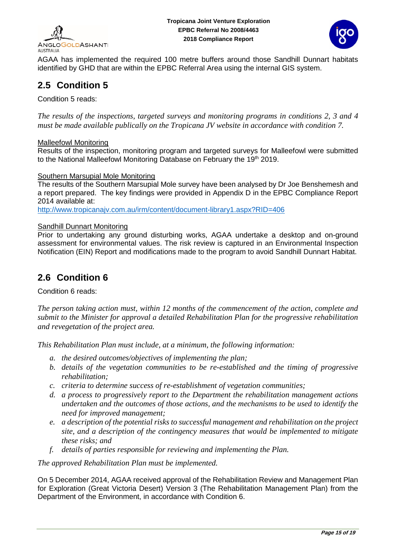![](_page_14_Picture_0.jpeg)

![](_page_14_Picture_2.jpeg)

AGAA has implemented the required 100 metre buffers around those Sandhill Dunnart habitats identified by GHD that are within the EPBC Referral Area using the internal GIS system.

## <span id="page-14-0"></span>**2.5 Condition 5**

Condition 5 reads:

*The results of the inspections, targeted surveys and monitoring programs in conditions 2, 3 and 4 must be made available publically on the Tropicana JV website in accordance with condition 7.*

#### Malleefowl Monitoring

Results of the inspection, monitoring program and targeted surveys for Malleefowl were submitted to the National Malleefowl Monitoring Database on February the 19<sup>th</sup> 2019.

#### Southern Marsupial Mole Monitoring

The results of the Southern Marsupial Mole survey have been analysed by Dr Joe Benshemesh and a report prepared. The key findings were provided in Appendix D in the EPBC Compliance Report 2014 available at:

<http://www.tropicanajv.com.au/irm/content/document-library1.aspx?RID=406>

#### Sandhill Dunnart Monitoring

Prior to undertaking any ground disturbing works, AGAA undertake a desktop and on-ground assessment for environmental values. The risk review is captured in an Environmental Inspection Notification (EIN) Report and modifications made to the program to avoid Sandhill Dunnart Habitat.

### <span id="page-14-1"></span>**2.6 Condition 6**

Condition 6 reads:

*The person taking action must, within 12 months of the commencement of the action, complete and submit to the Minister for approval a detailed Rehabilitation Plan for the progressive rehabilitation and revegetation of the project area.*

*This Rehabilitation Plan must include, at a minimum, the following information:*

- *a. the desired outcomes/objectives of implementing the plan;*
- *b. details of the vegetation communities to be re-established and the timing of progressive rehabilitation;*
- *c. criteria to determine success of re-establishment of vegetation communities;*
- *d. a process to progressively report to the Department the rehabilitation management actions undertaken and the outcomes of those actions, and the mechanisms to be used to identify the need for improved management;*
- *e. a description of the potential risks to successful management and rehabilitation on the project site, and a description of the contingency measures that would be implemented to mitigate these risks; and*
- *f. details of parties responsible for reviewing and implementing the Plan.*

*The approved Rehabilitation Plan must be implemented.*

On 5 December 2014, AGAA received approval of the Rehabilitation Review and Management Plan for Exploration (Great Victoria Desert) Version 3 (The Rehabilitation Management Plan) from the Department of the Environment, in accordance with Condition 6.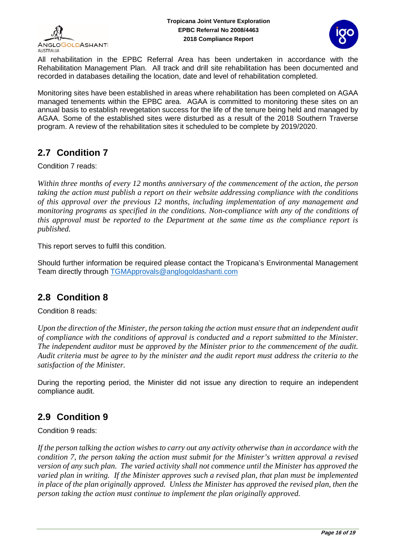![](_page_15_Picture_0.jpeg)

![](_page_15_Picture_2.jpeg)

All rehabilitation in the EPBC Referral Area has been undertaken in accordance with the Rehabilitation Management Plan. All track and drill site rehabilitation has been documented and recorded in databases detailing the location, date and level of rehabilitation completed.

Monitoring sites have been established in areas where rehabilitation has been completed on AGAA managed tenements within the EPBC area. AGAA is committed to monitoring these sites on an annual basis to establish revegetation success for the life of the tenure being held and managed by AGAA. Some of the established sites were disturbed as a result of the 2018 Southern Traverse program. A review of the rehabilitation sites it scheduled to be complete by 2019/2020.

## <span id="page-15-0"></span>**2.7 Condition 7**

Condition 7 reads:

*Within three months of every 12 months anniversary of the commencement of the action, the person taking the action must publish a report on their website addressing compliance with the conditions of this approval over the previous 12 months, including implementation of any management and monitoring programs as specified in the conditions. Non-compliance with any of the conditions of this approval must be reported to the Department at the same time as the compliance report is published.* 

This report serves to fulfil this condition.

Should further information be required please contact the Tropicana's Environmental Management Team directly through [TGMApprovals@anglogoldashanti.com](mailto:TGMApprovals@anglogoldashanti.com) 

## <span id="page-15-1"></span>**2.8 Condition 8**

Condition 8 reads:

*Upon the direction of the Minister, the person taking the action must ensure that an independent audit of compliance with the conditions of approval is conducted and a report submitted to the Minister. The independent auditor must be approved by the Minister prior to the commencement of the audit. Audit criteria must be agree to by the minister and the audit report must address the criteria to the satisfaction of the Minister.*

During the reporting period, the Minister did not issue any direction to require an independent compliance audit.

## <span id="page-15-2"></span>**2.9 Condition 9**

Condition 9 reads:

*If the person talking the action wishes to carry out any activity otherwise than in accordance with the condition 7, the person taking the action must submit for the Minister's written approval a revised version of any such plan. The varied activity shall not commence until the Minister has approved the varied plan in writing. If the Minister approves such a revised plan, that plan must be implemented*  in place of the plan originally approved. Unless the Minister has approved the revised plan, then the *person taking the action must continue to implement the plan originally approved.*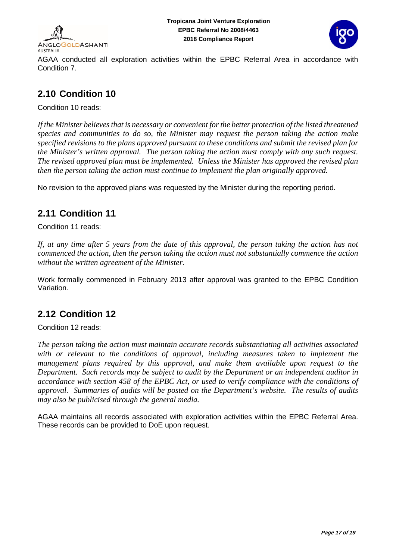![](_page_16_Picture_0.jpeg)

![](_page_16_Picture_2.jpeg)

AGAA conducted all exploration activities within the EPBC Referral Area in accordance with Condition 7.

### <span id="page-16-0"></span>**2.10 Condition 10**

Condition 10 reads:

*If the Minister believes that is necessary or convenient for the better protection of the listed threatened species and communities to do so, the Minister may request the person taking the action make specified revisions to the plans approved pursuant to these conditions and submit the revised plan for the Minister's written approval. The person taking the action must comply with any such request. The revised approved plan must be implemented. Unless the Minister has approved the revised plan then the person taking the action must continue to implement the plan originally approved.*

No revision to the approved plans was requested by the Minister during the reporting period.

### <span id="page-16-1"></span>**2.11 Condition 11**

Condition 11 reads:

*If, at any time after 5 years from the date of this approval, the person taking the action has not commenced the action, then the person taking the action must not substantially commence the action without the written agreement of the Minister.*

Work formally commenced in February 2013 after approval was granted to the EPBC Condition Variation.

### <span id="page-16-2"></span>**2.12 Condition 12**

Condition 12 reads:

*The person taking the action must maintain accurate records substantiating all activities associated with or relevant to the conditions of approval, including measures taken to implement the management plans required by this approval, and make them available upon request to the Department. Such records may be subject to audit by the Department or an independent auditor in accordance with section 458 of the EPBC Act, or used to verify compliance with the conditions of approval. Summaries of audits will be posted on the Department's website. The results of audits may also be publicised through the general media.*

AGAA maintains all records associated with exploration activities within the EPBC Referral Area. These records can be provided to DoE upon request.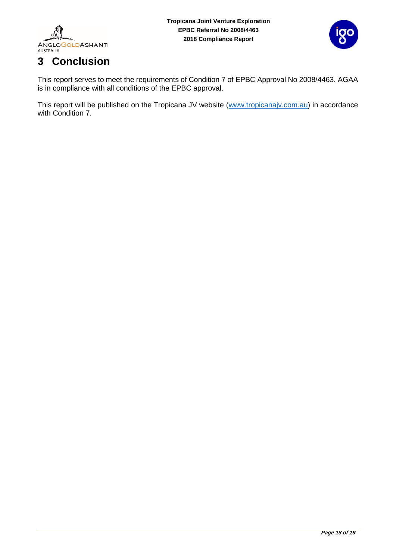![](_page_17_Picture_0.jpeg)

![](_page_17_Picture_2.jpeg)

# <span id="page-17-0"></span>**3 Conclusion**

This report serves to meet the requirements of Condition 7 of EPBC Approval No 2008/4463. AGAA is in compliance with all conditions of the EPBC approval.

This report will be published on the Tropicana JV website [\(www.tropicanajv.com.au\)](http://www.tropicanajv.com.au/) in accordance with Condition 7.